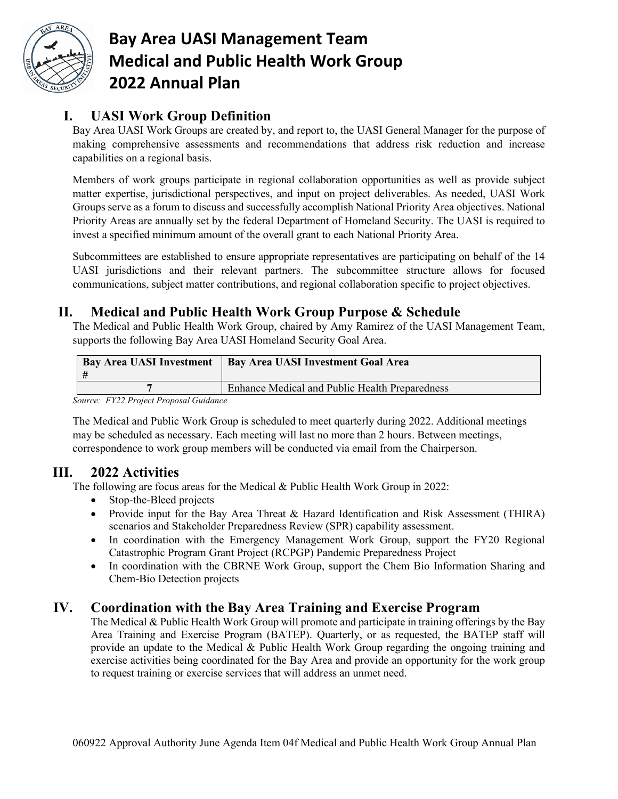

# **Bay Area UASI Management Team Medical and Public Health Work Group 2022 Annual Plan**

## **I. UASI Work Group Definition**

Bay Area UASI Work Groups are created by, and report to, the UASI General Manager for the purpose of making comprehensive assessments and recommendations that address risk reduction and increase capabilities on a regional basis.

Members of work groups participate in regional collaboration opportunities as well as provide subject matter expertise, jurisdictional perspectives, and input on project deliverables. As needed, UASI Work Groups serve as a forum to discuss and successfully accomplish National Priority Area objectives. National Priority Areas are annually set by the federal Department of Homeland Security. The UASI is required to invest a specified minimum amount of the overall grant to each National Priority Area.

Subcommittees are established to ensure appropriate representatives are participating on behalf of the 14 UASI jurisdictions and their relevant partners. The subcommittee structure allows for focused communications, subject matter contributions, and regional collaboration specific to project objectives.

### **II. Medical and Public Health Work Group Purpose & Schedule**

The Medical and Public Health Work Group, chaired by Amy Ramirez of the UASI Management Team, supports the following Bay Area UASI Homeland Security Goal Area.

| <b>Bay Area UASI Investment</b>        | <b>Bay Area UASI Investment Goal Area</b>      |
|----------------------------------------|------------------------------------------------|
|                                        | Enhance Medical and Public Health Preparedness |
| Source: FY22 Project Proposal Guidance |                                                |

*Source: FY22 Project Proposal Guidance*

The Medical and Public Work Group is scheduled to meet quarterly during 2022. Additional meetings may be scheduled as necessary. Each meeting will last no more than 2 hours. Between meetings, correspondence to work group members will be conducted via email from the Chairperson.

#### **III. 2022 Activities**

The following are focus areas for the Medical & Public Health Work Group in 2022:

- Stop-the-Bleed projects
- Provide input for the Bay Area Threat & Hazard Identification and Risk Assessment (THIRA) scenarios and Stakeholder Preparedness Review (SPR) capability assessment.
- In coordination with the Emergency Management Work Group, support the FY20 Regional Catastrophic Program Grant Project (RCPGP) Pandemic Preparedness Project
- In coordination with the CBRNE Work Group, support the Chem Bio Information Sharing and Chem-Bio Detection projects

### **IV. Coordination with the Bay Area Training and Exercise Program**

The Medical & Public Health Work Group will promote and participate in training offerings by the Bay Area Training and Exercise Program (BATEP). Quarterly, or as requested, the BATEP staff will provide an update to the Medical & Public Health Work Group regarding the ongoing training and exercise activities being coordinated for the Bay Area and provide an opportunity for the work group to request training or exercise services that will address an unmet need.